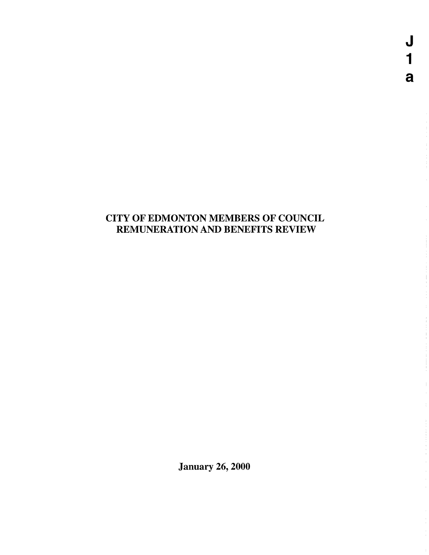# CITY OF EDMONTON MEMBERS OF COUNCIL REMUNERATION AND BENEFITS REVIEW

January 26, 2000

 $\overline{\mathsf{J}}$  $\mathbf 1$ a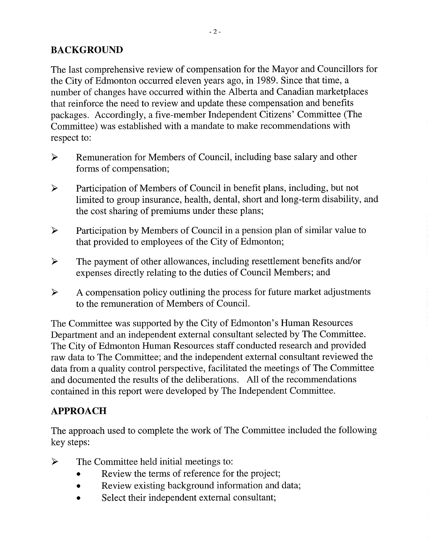### BACKGROUND

The last comprehensive review of compensation for the Mayor and Councillors for the City of Edmonton occurred eleven years ago, in 1989. Since that time, a number of changes have occurred within the Alberta and Canadian marketplaces that reinforce the need to review and update these compensation and benefits packages. Accordingly, a five-member Independent Citizens' Committee (The Committee) was established with a mandate to make recommendations with respect to:

- > Remuneration for Members of Council, including base salary and other forms of compensation;
- > Participation of Members of Council in benefit plans, including, but not limited to group insurance, health, dental, short and long-term disability, and the cost sharing of premiums under these plans;
- > Participation by Members of Council in a pension plan of similar value to that provided to employees of the City of Edmonton;
- > The payment of other allowances, including resettlement benefits and/or expenses directly relating to the duties of Council Members; and
- $\triangleright$  A compensation policy outlining the process for future market adjustments to the remuneration of Members of Council.

The Committee was supported by the City of Edmonton's Human Resources Department and an independent external consultant selected by The Committee. The City of Edmonton Human Resources staff conducted research and provided raw data to The Committee; and the independent external consultant reviewed the data from a quality control perspective, facilitated the meetings of The Committee and documented the results of the deliberations. All of the recommendations contained in this report were developed by The Independent Committee.

## APPROACH

The approach used to complete the work of The Committee included the following key steps:

- $\triangleright$  The Committee held initial meetings to:
	- Review the terms of reference for the project;
	- Review existing background information and data;
	- Select their independent external consultant;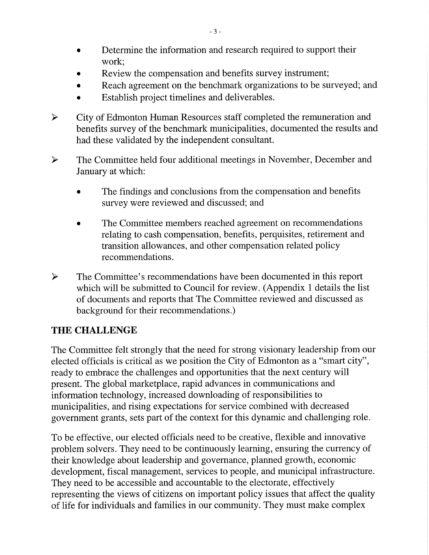- Determine the information and research required to support their work;
- Review the compensation and benefits survey instrument;
- Reach agreement on the benchmark organizations to be surveyed; and
- Establish project timelines and deliverables.
- > City of Edmonton Human Resources staff completed the remuneration and benefits survey of the benchmark municipalities, documented the results and had these validated by the independent consultant.
- > The Committee held four additional meetings in November, December and January at which:
	- The findings and conclusions from the compensation and benefits survey were reviewed and discussed; and
	- The Committee members reached agreement on recommendations relating to cash compensation, benefits, perquisites, retirement and transition allowances, and other compensation related policy recommendations.
- )=. The Committee's recommendations have been documented in this report which will be submitted to Council for review. (Appendix 1 details the list of documents and reports that The Committee reviewed and discussed as background for their recommendations.)

## THE CHALLENGE

The Committee felt strongly that the need for strong visionary leadership from our elected officials is critical as we position the City of Edmonton as a "smart city", ready to embrace the challenges and opportunities that the next century will present. The global marketplace, rapid advances in communications and information technology, increased downloading of responsibilities to municipalities, and rising expectations for service combined with decreased government grants, sets part of the context for this dynamic and challenging role.

To be effective, our elected officials need to be creative, flexible and innovative problem solvers. They need to be continuously learning, ensuring the currency of their knowledge about leadership and governance, planned growth, economic development, fiscal management, services to people, and municipal infrastructure. They need to be accessible and accountable to the electorate, effectively representing the views of citizens on important policy issues that affect the quality of life for individuals and families in our community. They must make complex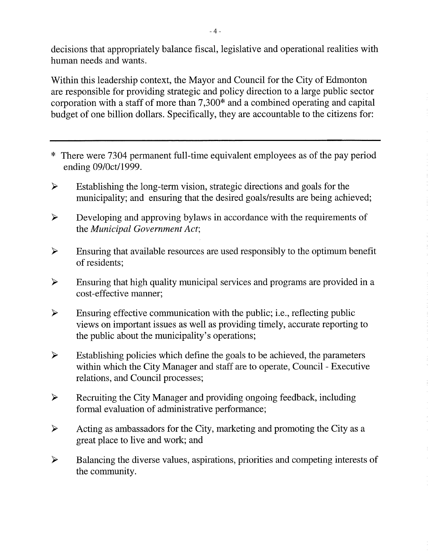decisions that appropriately balance fiscal, legislative and operational realities with human needs and wants.

Within this leadership context, the Mayor and Council for the City of Edmonton are responsible for providing strategic and policy direction to a large public sector corporation with a staff of more than 7,300\* and a combined operating and capital budget of one billion dollars. Specifically, they are accountable to the citizens for:

- \* There were 7304 permanent full-time equivalent employees as of the pay period ending 09/0ct/1999.
- $\triangleright$  Establishing the long-term vision, strategic directions and goals for the municipality; and ensuring that the desired goals/results are being achieved;
- $\triangleright$  Developing and approving bylaws in accordance with the requirements of the *Municipal Government Act;*
- $\triangleright$  Ensuring that available resources are used responsibly to the optimum benefit of residents;
- $\triangleright$  Ensuring that high quality municipal services and programs are provided in a cost-effective manner;
- $\triangleright$  Ensuring effective communication with the public; i.e., reflecting public views on important issues as well as providing timely, accurate reporting to the public about the municipality's operations;
- $\triangleright$  Establishing policies which define the goals to be achieved, the parameters within which the City Manager and staff are to operate, Council - Executive relations, and Council processes;
- > Recruiting the City Manager and providing ongoing feedback, including formal evaluation of administrative performance;
- $\triangleright$  Acting as ambassadors for the City, marketing and promoting the City as a great place to live and work; and
- $\triangleright$  Balancing the diverse values, aspirations, priorities and competing interests of the community.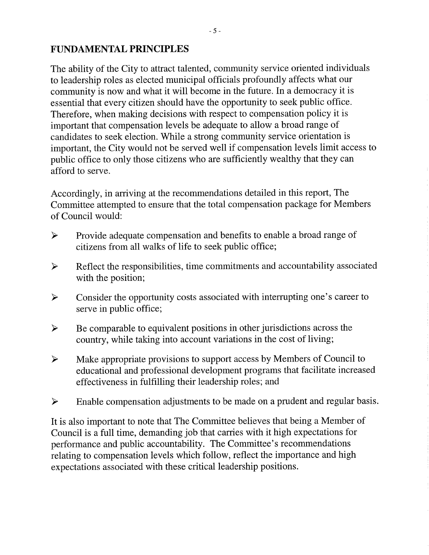### **FUNDAMENTAL PRINCIPLES**

The ability of the City to attract talented, community service oriented individuals to leadership roles as elected municipal officials profoundly affects what our community is now and what it will become in the future. In a democracy it is essential that every citizen should have the opportunity to seek public office. Therefore, when making decisions with respect to compensation policy it is important that compensation levels be adequate to allow a broad range of candidates to seek election. While a strong community service orientation is important, the City would not be served well if compensation levels limit access to public office to only those citizens who are sufficiently wealthy that they can afford to serve.

Accordingly, in arriving at the recommendations detailed in this report, The Committee attempted to ensure that the total compensation package for Members of Council would:

- $\triangleright$  Provide adequate compensation and benefits to enable a broad range of citizens from all walks of life to seek public office;
- $\triangleright$  Reflect the responsibilities, time commitments and accountability associated with the position;
- )=. Consider the opportunity costs associated with interrupting one's career to serve in public office;
- $\triangleright$  Be comparable to equivalent positions in other jurisdictions across the country, while taking into account variations in the cost of living;
- Make appropriate provisions to support access by Members of Council to educational and professional development programs that facilitate increased effectiveness in fulfilling their leadership roles; and
- $\triangleright$  Enable compensation adjustments to be made on a prudent and regular basis.

It is also important to note that The Committee believes that being a Member of Council is a full time, demanding job that carries with it high expectations for performance and public accountability. The Committee's recommendations relating to compensation levels which follow, reflect the importance and high expectations associated with these critical leadership positions.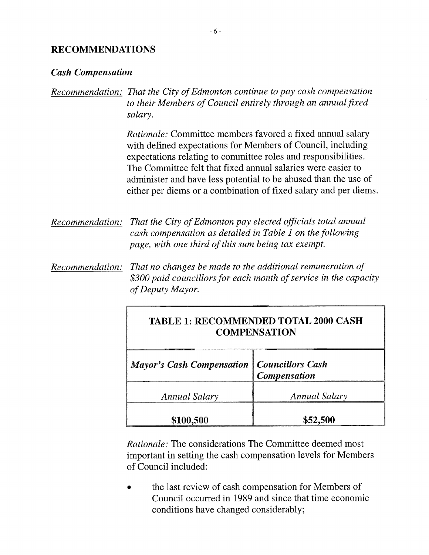### **RECOMMENDATIONS**

#### *Cash Compensation*

| Recommendation: That the City of Edmonton continue to pay cash compensation |  |
|-----------------------------------------------------------------------------|--|
| to their Members of Council entirely through an annual fixed                |  |
| salary.                                                                     |  |

*Rationale:* Committee members favored a fixed annual salary with defined expectations for Members of Council, including expectations relating to committee roles and responsibilities. The Committee felt that fixed annual salaries were easier to administer and have less potential to be abused than the use of either per diems or a combination of fixed salary and per diems.

*Recommendation: That the City of Edmonton pay elected officials total annual cash compensation as detailed in Table I on the following page, with one third of this sum being tax exempt.* 

*Recommendation: That no changes be made to the additional remuneration of \$300 paid councillors for each month of service in the capacity of Deputy Mayor.* 

## **TABLE 1: RECOMMENDED TOTAL 2000 CASH COMPENSATION**

| <b>Mayor's Cash Compensation   Councillors Cash</b> | <b>Compensation</b> |  |
|-----------------------------------------------------|---------------------|--|
| Annual Salary                                       | Annual Salary       |  |
| \$100,500                                           | \$52,500            |  |

*Rationale:* The considerations The Committee deemed most important in setting the cash compensation levels for Members of Council included:

• the last review of cash compensation for Members of Council occurred in 1989 and since that time economic conditions have changed considerably;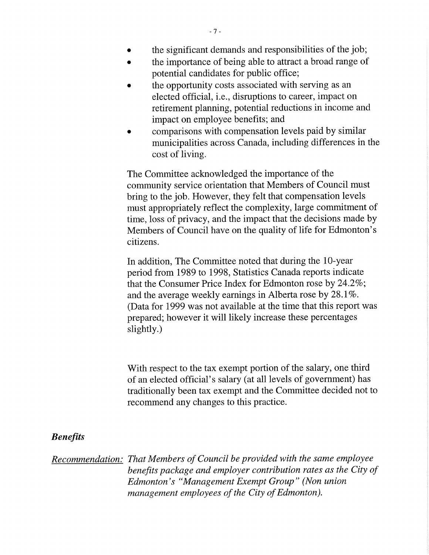- the significant demands and responsibilities of the job;
- the importance of being able to attract a broad range of potential candidates for public office;
- the opportunity costs associated with serving as an elected official, i.e., disruptions to career, impact on retirement planning, potential reductions in income and impact on employee benefits; and
- comparisons with compensation levels paid by similar municipalities across Canada, including differences in the cost of living.

The Committee acknowledged the importance of the community service orientation that Members of Council must bring to the job. However, they felt that compensation levels must appropriately reflect the complexity, large commitment of time, loss of privacy, and the impact that the decisions made by Members of Council have on the quality of life for Edmonton's citizens.

In addition, The Committee noted that during the 10-year period from 1989 to 1998, Statistics Canada reports indicate that the Consumer Price Index for Edmonton rose by 24.2%; and the average weekly earnings in Alberta rose by 28.1%. (Data for 1999 was not available at the time that this report was prepared; however it will likely increase these percentages slightly.)

With respect to the tax exempt portion of the salary, one third of an elected official's salary (at all levels of government) has traditionally been tax exempt and the Committee decided not to recommend any changes to this practice.

### *Benefits*

*Recommendation: That Members of Council be provided with the same employee benefits package and employer contribution rates as the City of Edmonton's "Management Exempt Group" (Non union management employees of the City of Edmonton).*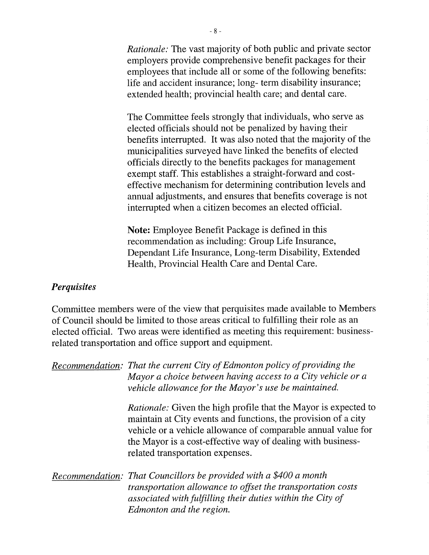*Rationale:* The vast majority of both public and private sector employers provide comprehensive benefit packages for their employees that include all or some of the following benefits: life and accident insurance; long- term disability insurance; extended health; provincial health care; and dental care.

The Committee feels strongly that individuals, who serve as elected officials should not be penalized by having their benefits interrupted. It was also noted that the majority of the municipalities surveyed have linked the benefits of elected officials directly to the benefits packages for management exempt staff. This establishes a straight-forward and costeffective mechanism for determining contribution levels and annual adjustments, and ensures that benefits coverage is not interrupted when a citizen becomes an elected official.

Note: Employee Benefit Package is defined in this recommendation as including: Group Life Insurance, Dependant Life Insurance, Long-term Disability, Extended Health, Provincial Health Care and Dental Care.

### *Perquisites*

Committee members were of the view that perquisites made available to Members of Council should be limited to those areas critical to fulfilling their role as an elected official. Two areas were identified as meeting this requirement: businessrelated transportation and office support and equipment.

| Recommendation: That the current City of Edmonton policy of providing the<br>Mayor a choice between having access to a City vehicle or a<br>vehicle allowance for the Mayor's use be maintained.                                                                                                             |  |
|--------------------------------------------------------------------------------------------------------------------------------------------------------------------------------------------------------------------------------------------------------------------------------------------------------------|--|
| <i>Rationale:</i> Given the high profile that the Mayor is expected to<br>maintain at City events and functions, the provision of a city<br>vehicle or a vehicle allowance of comparable annual value for<br>the Mayor is a cost-effective way of dealing with business-<br>related transportation expenses. |  |
| Recommendation: That Councillors be provided with a \$400 a month<br>transportation allowance to offset the transportation costs<br>associated with fulfilling their duties within the City of<br>Edmonton and the region.                                                                                   |  |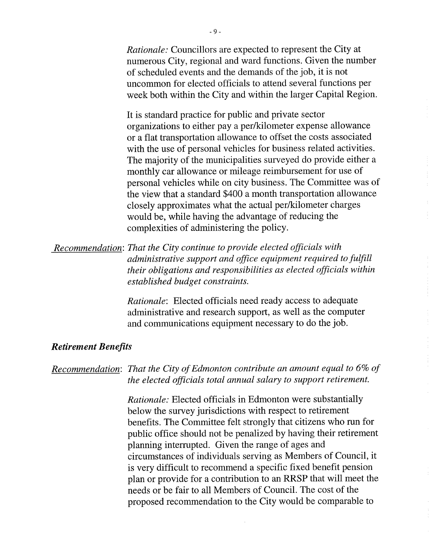*Rationale:* Councillors are expected to represent the City at numerous City, regional and ward functions. Given the number of scheduled events and the demands of the job, it is not uncommon for elected officials to attend several functions per week both within the City and within the larger Capital Region.

It is standard practice for public and private sector organizations to either pay a per/kilometer expense allowance or a flat transportation allowance to offset the costs associated with the use of personal vehicles for business related activities. The majority of the municipalities surveyed do provide either a monthly car allowance or mileage reimbursement for use of personal vehicles while on city business. The Committee was of the view that a standard \$400 a month transportation allowance closely approximates what the actual per/kilometer charges would be, while having the advantage of reducing the complexities of administering the policy.

*Recommendation: That the City continue to provide elected officials with administrative support and office equipment required to fulfill their obligations and responsibilities as elected officials within established budget constraints.* 

> *Rationale:* Elected officials need ready access to adequate administrative and research support, as well as the computer and communications equipment necessary to do the job.

#### *Retirement Benefits*

### *Recommendation: That the City of Edmonton contribute an amount equal to 6% of the elected officials total annual salary to support retirement.*

*Rationale:* Elected officials in Edmonton were substantially below the survey jurisdictions with respect to retirement benefits. The Committee felt strongly that citizens who run for public office should not be penalized by having their retirement planning interrupted. Given the range of ages and circumstances of individuals serving as Members of Council, it is very difficult to recommend a specific fixed benefit pension plan or provide for a contribution to an RRSP that will meet the needs or be fair to all Members of Council. The cost of the proposed recommendation to the City would be comparable to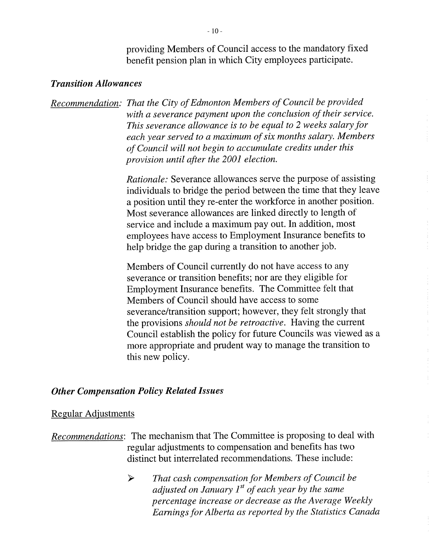providing Members of Council access to the mandatory fixed benefit pension plan in which City employees participate.

#### *Transition Allowances*

*Recommendation: That the City of Edmonton Members of Council be provided with a severance payment upon the conclusion of their service. This severance allowance is to be equal to 2 weeks salary for each year served to a maximum of six months salary. Members of Council will not begin to accumulate credits under this provision until after the 2001 election.* 

> *Rationale:* Severance allowances serve the purpose of assisting individuals to bridge the period between the time that they leave a position until they re-enter the workforce in another position. Most severance allowances are linked directly to length of service and include a maximum pay out. In addition, most employees have access to Employment Insurance benefits to help bridge the gap during a transition to another job.

> Members of Council currently do not have access to any severance or transition benefits; nor are they eligible for Employment Insurance benefits. The Committee felt that Members of Council should have access to some severance/transition support; however, they felt strongly that the provisions *should not be retroactive.* Having the current Council establish the policy for future Councils was viewed as a more appropriate and prudent way to manage the transition to this new policy.

#### *Other Compensation Policy Related Issues*

#### Regular Adjustments

*Recommendations:* The mechanism that The Committee is proposing to deal with regular adjustments to compensation and benefits has two distinct but interrelated recommendations. These include:

> *That cash compensation for Members of Council be*  ➤ *adjusted on January 1st of each year by the same percentage increase or decrease as the Average Weekly Earnings for Alberta as reported by the Statistics Canada*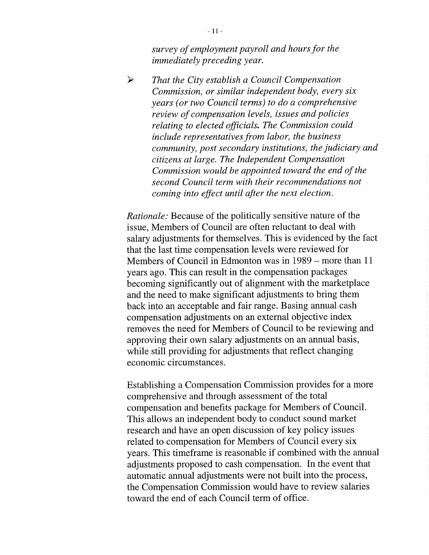*survey of employment payroll and hours for the immediately preceding year.* 

*> That the City establish a Council Compensation Commission, or similar independent body, every six years (or two Council terms) to do a comprehensive review of compensation levels, issues and policies relating to elected officials. The Commission could include representatives from labor, the business community, post secondary institutions, the judiciary and citizens at large. The Independent Compensation Commission would be appointed toward the end of the second Council term with their recommendations not coming into effect until after the next election.* 

*Rationale:* Because of the politically sensitive nature of the issue, Members of Council are often reluctant to deal with salary adjustments for themselves. This is evidenced by the fact that the last time compensation levels were reviewed for Members of Council in Edmonton was in 1989 — more than 11 years ago. This can result in the compensation packages becoming significantly out of alignment with the marketplace and the need to make significant adjustments to bring them back into an acceptable and fair range. Basing annual cash compensation adjustments on an external objective index removes the need for Members of Council to be reviewing and approving their own salary adjustments on an annual basis, while still providing for adjustments that reflect changing economic circumstances.

Establishing a Compensation Commission provides for a more comprehensive and through assessment of the total compensation and benefits package for Members of Council. This allows an independent body to conduct sound market research and have an open discussion of key policy issues related to compensation for Members of Council every six years. This timeframe is reasonable if combined with the annual adjustments proposed to cash compensation. In the event that automatic annual adjustments were not built into the process, the Compensation Commission would have to review salaries toward the end of each Council term of office.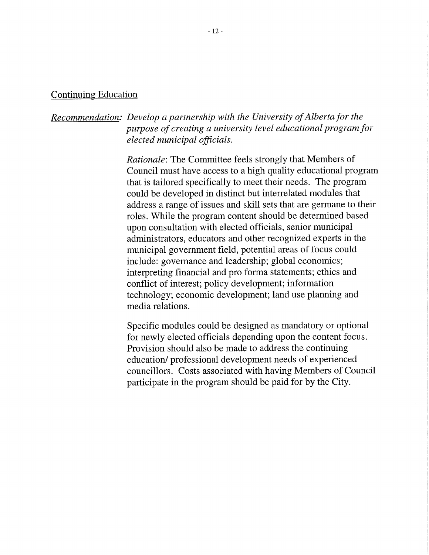#### Continuing Education

### *Recommendation: Develop a partnership with the University of Alberta for the purpose of creating a university level educational program for elected municipal officials.*

*Rationale:* The Committee feels strongly that Members of Council must have access to a high quality educational program that is tailored specifically to meet their needs. The program could be developed in distinct but interrelated modules that address a range of issues and skill sets that are germane to their roles. While the program content should be determined based upon consultation with elected officials, senior municipal administrators, educators and other recognized experts in the municipal government field, potential areas of focus could include: governance and leadership; global economics; interpreting financial and pro forma statements; ethics and conflict of interest; policy development; information technology; economic development; land use planning and media relations.

Specific modules could be designed as mandatory or optional for newly elected officials depending upon the content focus. Provision should also be made to address the continuing education/ professional development needs of experienced councillors. Costs associated with having Members of Council participate in the program should be paid for by the City.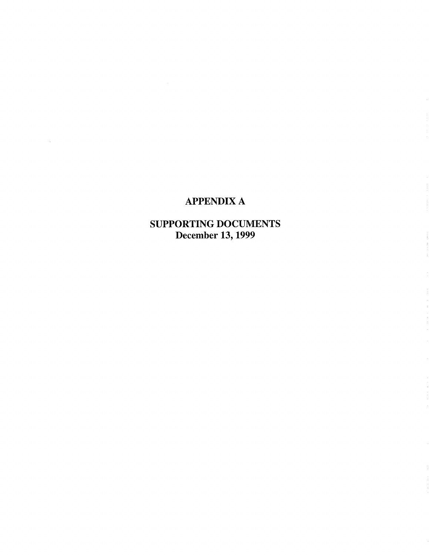## APPENDIX A

 $\Delta \sim 1$ 

SUPPORTING DOCUMENTS December 13, 1999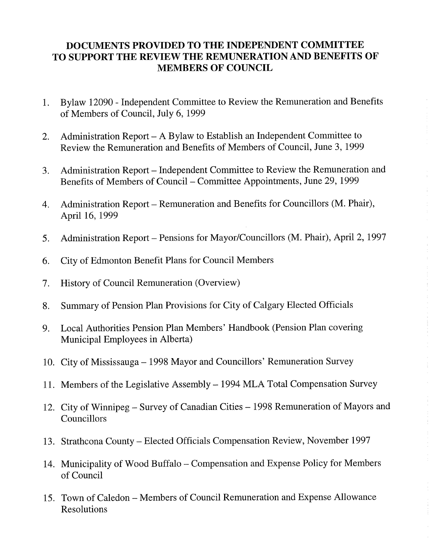### **DOCUMENTS PROVIDED TO THE INDEPENDENT COMMITTEE TO SUPPORT THE REVIEW THE REMUNERATION AND BENEFITS OF MEMBERS OF COUNCIL**

- 1. Bylaw 12090 Independent Committee to Review the Remuneration and Benefits of Members of Council, July 6, 1999
- 2. Administration Report A Bylaw to Establish an Independent Committee to Review the Remuneration and Benefits of Members of Council, June 3, 1999
- 3. Administration Report Independent Committee to Review the Remuneration and Benefits of Members of Council — Committee Appointments, June 29, 1999
- 4. Administration Report Remuneration and Benefits for Councillors (M. Phair), April 16, 1999
- 5. Administration Report Pensions for Mayor/Councillors (M. Phair), April 2, 1997
- 6. City of Edmonton Benefit Plans for Council Members
- 7. History of Council Remuneration (Overview)
- 8. Summary of Pension Plan Provisions for City of Calgary Elected Officials
- 9. Local Authorities Pension Plan Members' Handbook (Pension Plan covering Municipal Employees in Alberta)
- 10. City of Mississauga 1998 Mayor and Councillors' Remuneration Survey
- 11. Members of the Legislative Assembly 1994 MLA Total Compensation Survey
- 12. City of Winnipeg Survey of Canadian Cities 1998 Remuneration of Mayors and Councillors
- 13. Strathcona County Elected Officials Compensation Review, November 1997
- 14. Municipality of Wood Buffalo Compensation and Expense Policy for Members of Council
- 15. Town of Caledon Members of Council Remuneration and Expense Allowance Resolutions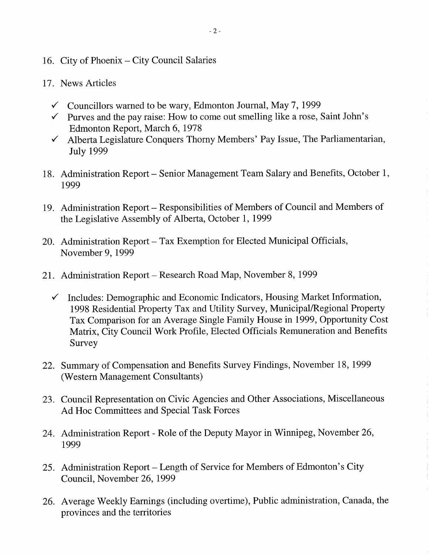- 16. City of Phoenix City Council Salaries
- 17. News Articles
	- $\checkmark$  Councillors warned to be wary, Edmonton Journal, May 7, 1999
	- $\checkmark$  Purves and the pay raise: How to come out smelling like a rose, Saint John's Edmonton Report, March 6, 1978
	- $\checkmark$  Alberta Legislature Conquers Thorny Members' Pay Issue, The Parliamentarian, July 1999
- 18. Administration Report Senior Management Team Salary and Benefits, October 1, 1999
- 19. Administration Report Responsibilities of Members of Council and Members of the Legislative Assembly of Alberta, October 1, 1999
- 20. Administration Report Tax Exemption for Elected Municipal Officials, November 9, 1999
- 21. Administration Report Research Road Map, November 8, 1999
	- $\checkmark$  Includes: Demographic and Economic Indicators, Housing Market Information, 1998 Residential Property Tax and Utility Survey, Municipal/Regional Property Tax Comparison for an Average Single Family House in 1999, Opportunity Cost Matrix, City Council Work Profile, Elected Officials Remuneration and Benefits Survey
- 22. Summary of Compensation and Benefits Survey Findings, November 18, 1999 (Western Management Consultants)
- 23. Council Representation on Civic Agencies and Other Associations, Miscellaneous Ad Hoc Committees and Special Task Forces
- 24. Administration Report Role of the Deputy Mayor in Winnipeg, November 26, 1999
- 25. Administration Report Length of Service for Members of Edmonton's City Council, November 26, 1999
- 26. Average Weekly Earnings (including overtime), Public administration, Canada, the provinces and the territories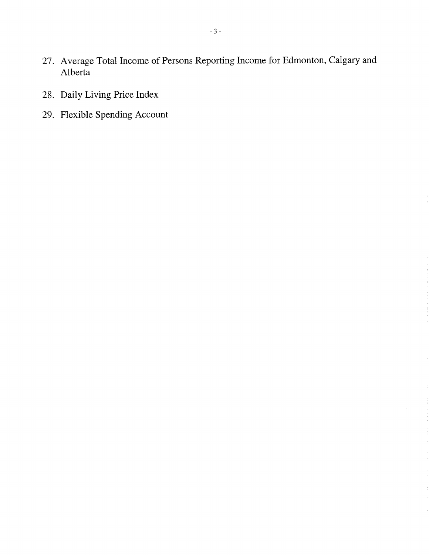- 27. Average Total Income of Persons Reporting Income for Edmonton, Calgary and Alberta
- 28. Daily Living Price Index
- 29. Flexible Spending Account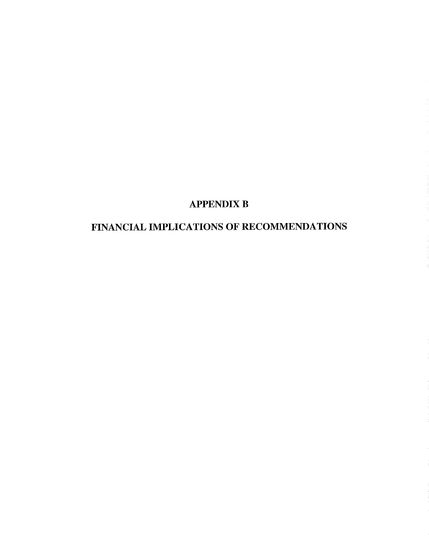## APPENDIX B

# FINANCIAL IMPLICATIONS OF RECOMMENDATIONS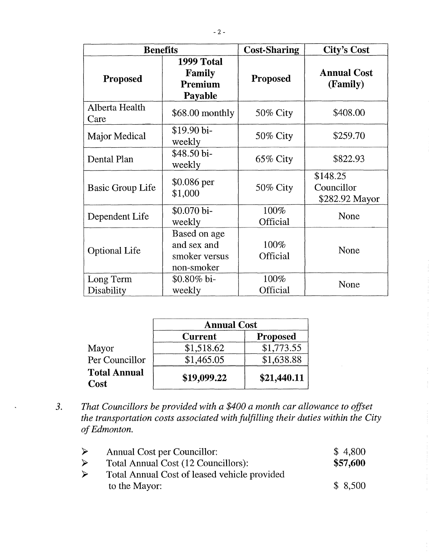| <b>Benefits</b>         |                                                            | <b>Cost-Sharing</b> | <b>City's Cost</b>                       |
|-------------------------|------------------------------------------------------------|---------------------|------------------------------------------|
| <b>Proposed</b>         | 1999 Total<br>Family<br>Premium<br>Payable                 | <b>Proposed</b>     | <b>Annual Cost</b><br>(Family)           |
| Alberta Health<br>Care  | \$68.00 monthly                                            | 50% City            | \$408.00                                 |
| Major Medical           | \$19.90 bi-<br>weekly                                      | 50% City            | \$259.70                                 |
| Dental Plan             | \$48.50 bi-<br>weekly                                      | $65\%$ City         | \$822.93                                 |
| <b>Basic Group Life</b> | $$0.086$ per<br>\$1,000                                    | 50% City            | \$148.25<br>Councillor<br>\$282.92 Mayor |
| Dependent Life          | \$0.070 bi-<br>weekly                                      | 100%<br>Official    | None                                     |
| <b>Optional Life</b>    | Based on age<br>and sex and<br>smoker versus<br>non-smoker | 100%<br>Official    | None                                     |
| Long Term<br>Disability | \$0.80% bi-<br>weekly                                      | 100%<br>Official    | None                                     |

|                                    | <b>Annual Cost</b> |                 |
|------------------------------------|--------------------|-----------------|
|                                    | <b>Current</b>     | <b>Proposed</b> |
| Mayor                              | \$1,518.62         | \$1,773.55      |
| Per Councillor                     | \$1,465.05         | \$1,638.88      |
| <b>Total Annual</b><br><b>Cost</b> | \$19,099.22        | \$21,440.11     |

*3. That Councillors be provided with a \$400 a month car allowance to offset the transportation costs associated with fulfilling their duties within the City of Edmonton.* 

| ➤ | <b>Annual Cost per Councillor:</b>           | \$4,800  |
|---|----------------------------------------------|----------|
| ➤ | Total Annual Cost (12 Councillors):          | \$57,600 |
| ➤ | Total Annual Cost of leased vehicle provided |          |
|   | to the Mayor:                                | \$8,500  |